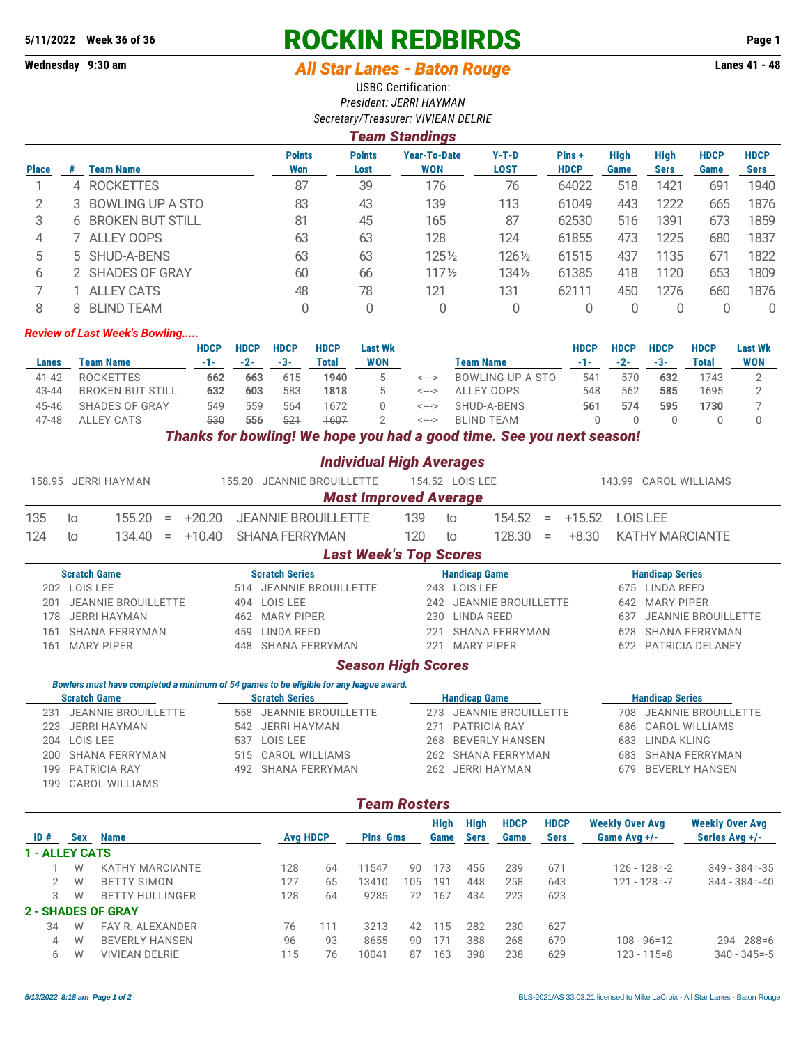# **5/11/2022 Week 36 of 36 ROCKIN REDBIRDS Page 1**

## **Wednesday 9:30 am** *All Star Lanes - Baton Rouge* **Lanes 41 - 48**

USBC Certification: *President: JERRI HAYMAN Secretary/Treasurer: VIVIEAN DELRIE*

### *Team Standings*

| <b>Place</b> |   | Team Name               | <b>Points</b><br>Won | <b>Points</b><br>Lost | <b>Year-To-Date</b><br><b>WON</b> | $Y-T-D$<br>LOST | Pins+<br><b>HDCP</b> | <b>High</b><br>Game | <b>High</b><br><b>Sers</b> | <b>HDCP</b><br>Game | <b>HDCP</b><br>Sers |
|--------------|---|-------------------------|----------------------|-----------------------|-----------------------------------|-----------------|----------------------|---------------------|----------------------------|---------------------|---------------------|
|              | 4 | <b>ROCKETTES</b>        | 87                   | 39                    | 176                               | 76              | 64022                | 518                 | 1421                       | 691                 | 1940                |
|              |   | BOWLING UP A STO        | 83                   | 43                    | 139                               | 113             | 61049                | 443                 | 1222                       | 665                 | 1876                |
| 3            | 6 | <b>BROKEN BUT STILL</b> | 81                   | 45                    | 165                               | 87              | 62530                | 516                 | 1391                       | 673                 | 1859                |
| 4            |   | ALLEY OOPS              | 63                   | 63                    | 128                               | 124             | 61855                | 473                 | 1225                       | 680                 | 1837                |
| 5            |   | 5 SHUD-A-BENS           | 63                   | 63                    | 1251/2                            | 1261/2          | 61515                | 437                 | 1135                       | 671                 | 1822                |
| 6            |   | 2 SHADES OF GRAY        | 60                   | 66                    | $117\frac{1}{2}$                  | 1341/2          | 61385                | 418                 | 1120                       | 653                 | 1809                |
|              |   | <b>ALLEY CATS</b>       | 48                   | 78                    | 121                               | 131             | 62111                | 450                 | 1276                       | 660                 | 1876                |
|              |   | <b>BLIND TEAM</b>       |                      | 0                     |                                   |                 |                      |                     |                            |                     | 0                   |

#### *Review of Last Week's Bowling.....*

|           |                         | <b>HDCP</b> | <b>HDCP</b> | <b>HDCP</b> | <b>HDCP</b> | <b>Last Wk</b> |       |                  | HDCP | <b>HDCP</b> | <b>HDCP</b> | <b>HDCP</b> | <b>Last Wk</b> |
|-----------|-------------------------|-------------|-------------|-------------|-------------|----------------|-------|------------------|------|-------------|-------------|-------------|----------------|
| Lanes     | Team Name               | -1-1        | $-2-$       | $-3-$       | Total       | WON            |       | Team Name        |      | $-2-$       | $-3-$       | Total       | <b>WON</b>     |
| $41 - 42$ | ROCKETTES               | 662         | 663         | 615         | 1940        |                | <---> | BOWLING UP A STO | 541  | 570         | 632         | 1743        |                |
| 43-44     | <b>BROKEN BUT STILL</b> | 632         | 603         | 583         | 1818        |                | <---> | ALLEY OOPS       | 548  | 562         | 585         | 1695        |                |
| 45-46     | SHADES OF GRAY          | 549         | 559         | 564         | 1672        |                | <---> | SHUD-A-BENS      | 561  | 574         | 595         | 1730        |                |
| 47-48     | ALLEY CATS              | 530         | 556         | 521         | 1607        |                | <---> | BLIND TEAM       |      |             |             |             |                |
|           |                         |             |             |             |             |                |       |                  |      |             |             |             |                |

#### *Thanks for bowling! We hope you had a good time. See you next season!*

|     | <b>Individual High Averages</b> |  |  |  |                                       |      |    |                 |  |  |                                  |  |
|-----|---------------------------------|--|--|--|---------------------------------------|------|----|-----------------|--|--|----------------------------------|--|
|     | 158.95 JERRI HAYMAN             |  |  |  | 155.20 JEANNIE BROUILLETTE            |      |    | 154.52 LOIS LEE |  |  | 143.99 CAROL WILLIAMS            |  |
|     | <b>Most Improved Average</b>    |  |  |  |                                       |      |    |                 |  |  |                                  |  |
| 135 | to                              |  |  |  | $155.20 = +20.20$ JEANNIE BROUILLETTE | 139  | to |                 |  |  | $154.52 = +15.52$ LOIS LEE       |  |
| 124 | to                              |  |  |  | $134.40 = +10.40$ SHANA FERRYMAN      | 120. | to |                 |  |  | $128.30 = +8.30$ KATHY MARCIANTE |  |

#### *Last Week's Top Scores*

| <b>Scratch Game</b>               | <b>Scratch Series</b>     | <b>Handicap Game</b>    | <b>Handicap Series</b>  |
|-----------------------------------|---------------------------|-------------------------|-------------------------|
| LOIS LEE<br>202                   | 514 JEANNIE BROUILLETTE   | LOIS LEE<br>243         | LINDA REED<br>675.      |
| <b>JEANNIE BROUILLETTE</b><br>201 | 494 LOIS LEE              | 242 JEANNIE BROUILLETTE | 642 MARY PIPER          |
| JERRI HAYMAN<br>78.               | 462 MARY PIPER            | LINDA REED<br>230-      | 637 JEANNIE BROUILLETTE |
| SHANA FERRYMAN<br>161.            | <b>I INDA REED</b><br>459 | SHANA FERRYMAN          | 628 SHANA FERRYMAN      |
| MARY PIPFR<br>161                 | SHANA FERRYMAN<br>448.    | <b>MARY PIPER</b>       | 622 PATRICIA DELANEY    |
|                                   |                           |                         |                         |

#### *Season High Scores*

|                     | Bowlers must have completed a minimum of 54 games to be eligible for any league award. |                       |                         |  |                         |                        |                         |  |  |  |  |  |  |
|---------------------|----------------------------------------------------------------------------------------|-----------------------|-------------------------|--|-------------------------|------------------------|-------------------------|--|--|--|--|--|--|
| <b>Scratch Game</b> |                                                                                        | <b>Scratch Series</b> |                         |  | <b>Handicap Game</b>    | <b>Handicap Series</b> |                         |  |  |  |  |  |  |
|                     | 231 JEANNIE BROUILLETTE                                                                |                       | 558 JEANNIE BROUILLETTE |  | 273 JEANNIE BROUILLETTE |                        | 708 JEANNIE BROUILLETTE |  |  |  |  |  |  |
|                     | 223 JERRI HAYMAN                                                                       |                       | 542 JERRI HAYMAN        |  | 271 PATRICIA RAY        |                        | 686 CAROL WILLIAMS      |  |  |  |  |  |  |
|                     | 204 LOIS LEE                                                                           |                       | 537 LOIS LEE            |  | 268 BEVERLY HANSEN      |                        | 683 LINDA KLING         |  |  |  |  |  |  |
|                     | 200 SHANA FERRYMAN                                                                     |                       | 515 CAROL WILLIAMS      |  | 262 SHANA FERRYMAN      |                        | 683 SHANA FERRYMAN      |  |  |  |  |  |  |
|                     | 199 PATRICIA RAY                                                                       |                       | 492 SHANA FERRYMAN      |  | 262 JERRI HAYMAN        |                        | 679 BEVERLY HANSEN      |  |  |  |  |  |  |
|                     | 199 CAROL WILLIAMS                                                                     |                       |                         |  |                         |                        |                         |  |  |  |  |  |  |

### *Team Rosters*

|                       |     |                           |     |                 |       |                         | High | <b>High</b> | <b>HDCP</b> | <b>HDCP</b> | <b>Weekly Over Avg</b> | <b>Weekly Over Avg</b> |  |
|-----------------------|-----|---------------------------|-----|-----------------|-------|-------------------------|------|-------------|-------------|-------------|------------------------|------------------------|--|
| ID#                   | Sex | <b>Name</b>               |     | <b>Avg HDCP</b> |       | <b>Pins Gms</b><br>Game |      | <b>Sers</b> | Game        | <b>Sers</b> | Game Avg $+/-$         | Series Avg +/-         |  |
| <b>1 - ALLEY CATS</b> |     |                           |     |                 |       |                         |      |             |             |             |                        |                        |  |
|                       | W   | <b>KATHY MARCIANTE</b>    | 128 | 64              | 11547 | 90                      | 173  | 455         | 239         | 671         | $126 - 128 = -2$       | $349 - 384 = -35$      |  |
|                       | W   | <b>BETTY SIMON</b>        | 127 | 65              | 13410 | 105                     | 191  | 448         | 258         | 643         | $121 - 128 = -7$       | $344 - 384 = -40$      |  |
| 3                     | W   | <b>BETTY HULLINGER</b>    | 128 | 64              | 9285  | 72                      | 167  | 434         | 223         | 623         |                        |                        |  |
|                       |     | <b>2 - SHADES OF GRAY</b> |     |                 |       |                         |      |             |             |             |                        |                        |  |
| 34                    | W   | <b>FAY R. ALEXANDER</b>   | 76  | 111             | 3213  | 42                      | 115  | 282         | 230         | 627         |                        |                        |  |
| 4                     | W   | <b>BEVERLY HANSEN</b>     | 96  | 93              | 8655  | 90                      | 171  | 388         | 268         | 679         | $108 - 96 = 12$        | $294 - 288 = 6$        |  |
| 6                     | W   | <b>VIVIEAN DELRIE</b>     | 115 | 76              | 10041 | 87                      | 163  | 398         | 238         | 629         | $123 - 115 = 8$        | $340 - 345 = -5$       |  |
|                       |     |                           |     |                 |       |                         |      |             |             |             |                        |                        |  |